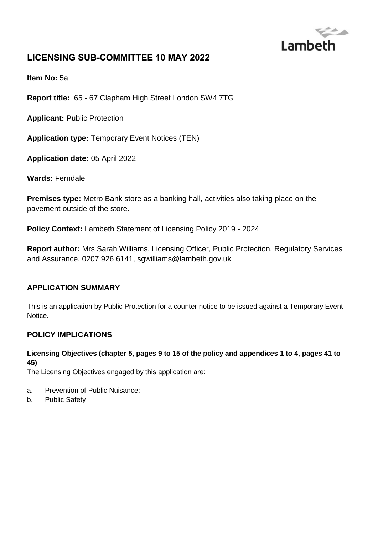

# **LICENSING SUB-COMMITTEE 10 MAY 2022**

**Item No:** 5a

**Report title:** 65 - 67 Clapham High Street London SW4 7TG

**Applicant:** Public Protection

**Application type:** Temporary Event Notices (TEN)

**Application date:** 05 April 2022

**Wards:** Ferndale

**Premises type:** Metro Bank store as a banking hall, activities also taking place on the pavement outside of the store.

**Policy Context:** Lambeth Statement of Licensing Policy 2019 - 2024

**Report author:** Mrs Sarah Williams, Licensing Officer, Public Protection, Regulatory Services and Assurance, 0207 926 6141, sgwilliams@lambeth.gov.uk

#### **APPLICATION SUMMARY**

This is an application by Public Protection for a counter notice to be issued against a Temporary Event Notice.

#### **POLICY IMPLICATIONS**

#### **Licensing Objectives (chapter 5, pages 9 to 15 of the policy and appendices 1 to 4, pages 41 to 45)**

The Licensing Objectives engaged by this application are:

- a. Prevention of Public Nuisance;
- b. Public Safety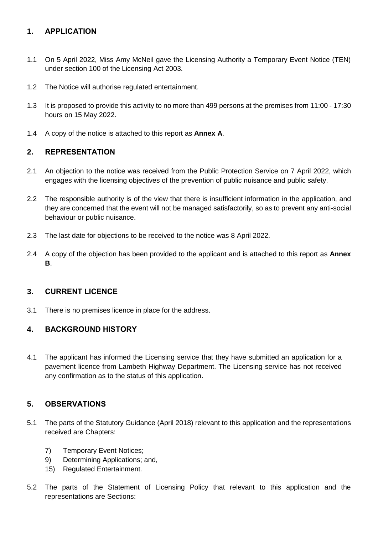### **1. APPLICATION**

- 1.1 On 5 April 2022, Miss Amy McNeil gave the Licensing Authority a Temporary Event Notice (TEN) under section 100 of the Licensing Act 2003.
- 1.2 The Notice will authorise regulated entertainment.
- 1.3 It is proposed to provide this activity to no more than 499 persons at the premises from 11:00 17:30 hours on 15 May 2022.
- 1.4 A copy of the notice is attached to this report as **Annex A**.

### **2. REPRESENTATION**

- 2.1 An objection to the notice was received from the Public Protection Service on 7 April 2022, which engages with the licensing objectives of the prevention of public nuisance and public safety.
- 2.2 The responsible authority is of the view that there is insufficient information in the application, and they are concerned that the event will not be managed satisfactorily, so as to prevent any anti-social behaviour or public nuisance.
- 2.3 The last date for objections to be received to the notice was 8 April 2022.
- 2.4 A copy of the objection has been provided to the applicant and is attached to this report as **Annex B**.

#### **3. CURRENT LICENCE**

3.1 There is no premises licence in place for the address.

#### **4. BACKGROUND HISTORY**

4.1 The applicant has informed the Licensing service that they have submitted an application for a pavement licence from Lambeth Highway Department. The Licensing service has not received any confirmation as to the status of this application.

#### **5. OBSERVATIONS**

- 5.1 The parts of the Statutory Guidance (April 2018) relevant to this application and the representations received are Chapters:
	- 7) Temporary Event Notices;
	- 9) Determining Applications; and,
	- 15) Regulated Entertainment.
- 5.2 The parts of the Statement of Licensing Policy that relevant to this application and the representations are Sections: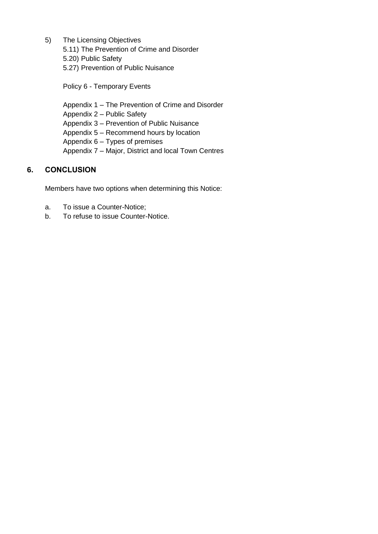- 5) The Licensing Objectives
	- 5.11) The Prevention of Crime and Disorder
	- 5.20) Public Safety
	- 5.27) Prevention of Public Nuisance

Policy 6 - Temporary Events

Appendix 1 – The Prevention of Crime and Disorder Appendix 2 – Public Safety Appendix 3 – Prevention of Public Nuisance Appendix 5 – Recommend hours by location Appendix 6 – Types of premises Appendix 7 – Major, District and local Town Centres

#### **6. CONCLUSION**

Members have two options when determining this Notice:

- a. To issue a Counter-Notice;
- b. To refuse to issue Counter-Notice.